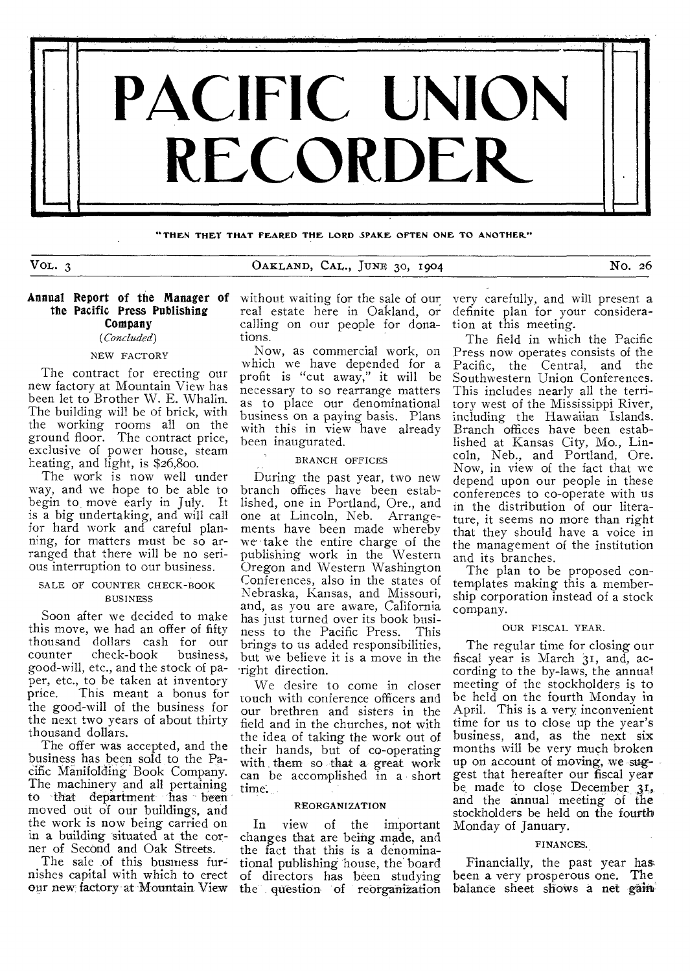

#### **THEN THEY THAT FEARED THE LORD SPARE OFTEN ONE TO ANOTHER"**

VOL. 3 CARLAND, CAL., JUNE 30, 1904 NO. 26

# Annual Report of the Manager of without waiting for the sale of our the Pacific Press Publishing Company

# *(Concluded)*

# NEW FACTORY

The contract for erecting our new factory at Mountain View has been let to Brother W. E. Whalin. The building will be of brick, with the working rooms all on the ground floor. The contract price, exclusive of power house, steam heating, and light, is \$26,800.

The work is now well under way, and we hope to be able to begin to move early in July. It is a big undertaking, and will call for hard work and careful planning, for matters must be so arranged that there will be no serious interruption to our business.

## SALE OF COUNTER CHECK-BOOK BUSINESS

Soon after we decided to make this move, we had an offer of fifty thousand dollars cash for our  $check-book$ good-will, etc., and the stock of paper, etc., to be taken at inventory<br>price. This meant a bonus for This meant a bonus for the good-will of the business for the next two years of about thirty thousand dollars.

The offer was accepted, and the business has been sold to the Pacific Manifolding Book Company. The machinery and all pertaining to that department has been moved out of our buildings, and the work is now being carried on in a building situated at the corner of Second and Oak Streets.

The sale of this business furnishes capital with which to erect our new factory at Mountain. View real estate here in Oakland, or calling on our people for donations.

Now, as commercial work, on which we have depended for a profit is "cut away," it will be necessary to so rearrange matters as to place our denominational business on a paying basis. Plans with this in view have already been inaugurated.

BRANCH OFFICES

During the past year, two new branch offices have been established, one in Portland, Ore., and one at Lincoln, Neb. Arrangements have been made whereby we take the entire charge of the publishing work in the Western Oregon and Western Washington Conferences, also in the states of Nebraska, Kansas, and Missouri, and, as you are aware, California has just turned over its book business to the Pacific Press. This brings to us added responsibilities, but we believe it is a move in the 'right direction.

We desire to come in closer touch with conference officers and our brethren and sisters in the field and in the churches, not with the idea of taking the work out of their hands, but of co-operating with them so that a great work can be accomplished in a short time.

#### REORGANIZATION

In view of the important changes that are being made, and the fact that this is a denominational publishing 'house, the' board of directors has been studying the question of reorganization

very carefully, and will present a definite plan for your consideration at this meeting.

The field in which the Pacific Press now operates consists of the Pacific, the Central, and the Southwestern Union Conferences. This includes nearly all the territory west of the Mississippi River, including the Hawaiian Islands. Branch offices have been established at Kansas City, Mo., Lincoln, Neb., and Portland, Ore. Now, in view of the fact that we depend upon our people in these conferences to co-operate with us in the distribution of our literature, it seems no more than right that they should have a voice in the management of the institution and its branches.

The plan to be proposed contemplates making this a membership corporation instead of a stock company.

#### OUR FISCAL YEAR.

The regular time for closing our fiscal year is March 31, and, according to the by-laws, the annual meeting of the stockholders is to be held on the fourth Monday in April. This is a very inconvenient time for us to close up the year's business, and, as the next six months will be very much broken up on account of moving, we suggest that hereafter our fiscal year be made to close December 31, and the annual meeting of the stockholders be held on the fourth Monday of January.

#### FINANCES.

Financially, the past year has, been a very prosperous one. The balance sheet shows a net gain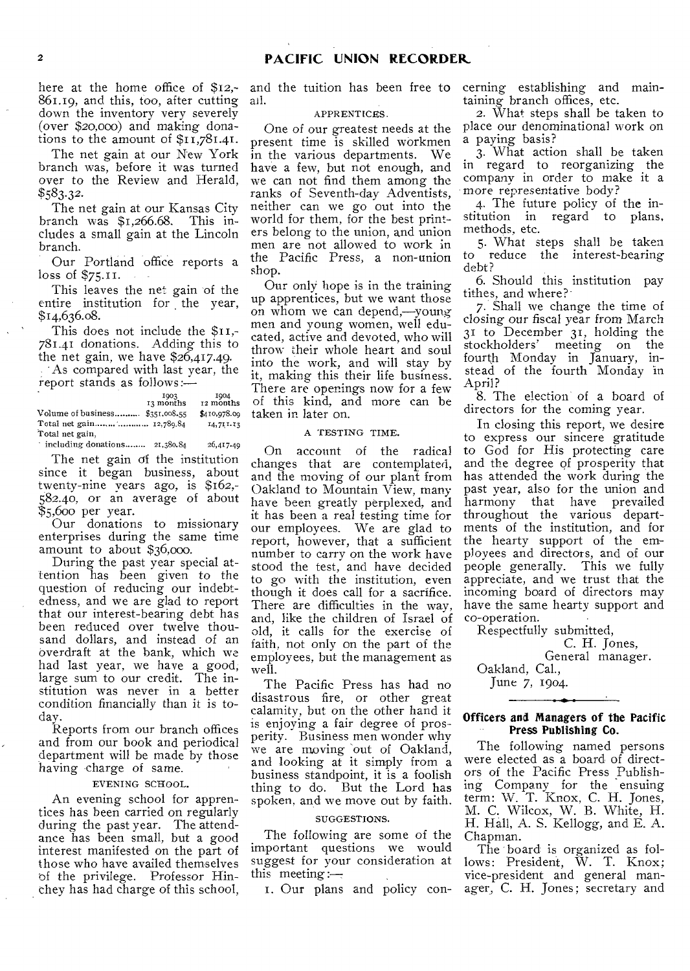here at the home office of \$12,-861.19, and this, too, after cutting down the inventory very severely (over \$20,000) and making donations to the amount of \$11,781.41.

The net gain at our New York branch was, before it was turned over to the Review and Herald, *\$583.32.* 

The net gain at our Kansas City branch was \$1,266.68. This includes a small gain at the Lincoln branch.

Our Portland office reports a loss of \$75.11.

This leaves the net gain of the entire institution for the year, \$14,636.08.

This does not include the \$11,- 781.41 donations. Adding this to the net gain, we have \$26,417.49. As compared with last year, the report stands as follows:—

1903 13 months 1904<br>12 months Volume of business......... \$351,008.55 \$410,978.09 Total net gain ........ ............. 12,789.84 14,711.13 Total net gain,

 $^{\circ}$  including donations ....... 21,380.84 26,417.49

The net gain of the institution since it began business, about twenty-nine years ago, is \$162,- 582.40, or an average of about \$5,600 per year.

Our donations to missionary enterprises during the same time amount to about \$36,000.

During the past year special attention has been given to the question of reducing our indebtedness, and we are glad to report that our interest-bearing debt has been reduced over twelve thousand dollars, and instead of an overdraft at the bank, which we had last year, we have a good, large sum to our credit. The institution was never in a better condition financially than it is today.

Reports from our branch offices and from our book and periodical department will be made by those having charge of same.

### EVENING SCHOOL.

An evening school for apprentices has been carried on regularly during the past year. The attendance has been small, but a good interest manifested on the part of those who have availed themselves 'of the privilege. Professor Hinthey has had charge of this school,

and the tuition has been free to all.

## APPRENTICES.

One of our greatest needs at the present time is skilled workmen in the various departments. We have a few, but not enough, and we can not find them among the ranks of Seventh-day Adventists, neither can we go out into the world for them, for the best printers belong to the union, and union men are not allowed to work in the Pacific Press, a non-union shop.

Our only hope is in the training up apprentices, but we want those on whom we can depend,—young men and young women, well educated, active and devoted, who will throw their whole heart and soul into the work, and will stay by it, making this their life business. There are openings now for a few of this kind, and more can be taken in later on.

#### A TESTING TIME.

On account of the radical changes that are contemplated, and the moving of our plant from Oakland to Mountain View, many have been greatly perplexed, and it has been a real testing time for our employees. We are glad to report, however, that a sufficient number to carry on the work have stood the test, and have decided to go with the institution, even though it does call for a sacrifice. There are difficulties in the way, and, like the children of Israel of old, it calls for the exercise of faith, not only on the part of the employees, but the management as well.

The Pacific Press has had no disastrous fire, or other great calamity, but on the other hand it is enjoying a fair degree of prosperity. Business men wonder why we are moving out of Oakland, and looking at it simply from a business standpoint, it is a foolish thing to do. But the Lord has spoken, and we move out by faith.

#### SUGGESTIONS.

The following are some of the important questions we would suggest for your consideration at this meeting:—

I. Our plans and policy con-

cerning establishing and maintaining branch offices, etc.

2. What steps shall be taken to place our denominational work on a paying basis?

3. What action shall be taken in regard to reorganizing the company in order to make it a more representative body?

4. The future policy of the institution in regard to plans. methods, etc.

5. What steps shall be taken to reduce the interest-bearing debt?

6. Should this institution pay tithes, and where?

7. Shall we change the time of closing our fiscal year from March 31 to December 31, holding the stockholders' meeting on the fourth Monday in January, instead of the fourth Monday in April?

8. The election of a board of directors for the coming year.

In closing this report, we desire to express our sincere gratitude to God for His protecting care and the degree of prosperity that has attended the work during the past year, also for the union and harmony that have prevailed throughout the various departments of the institution, and for the hearty support of the employees and directors, and of our people generally. This we fully appreciate, and we trust that the incoming board of directors may have the same hearty support and co-operation.

Respectfully submitted,

C. H. Jones, General manager.

Oakland, Cal., June 7, 1904.

## Officers and Managers of the Pacific Press Publishing Co.

The following named persons were elected as a board of directors of the Pacific Press Publishing Company for the ensuing term: W. T. Knox, C. H. Jones, M. C. Wilcox, W. B. White, H. H. Hall, A. S. Kellogg, and E. A. Chapman.

The board is organized as follows: President, W. T. Knox; vice-president and general manager, C. H. Jones; secretary and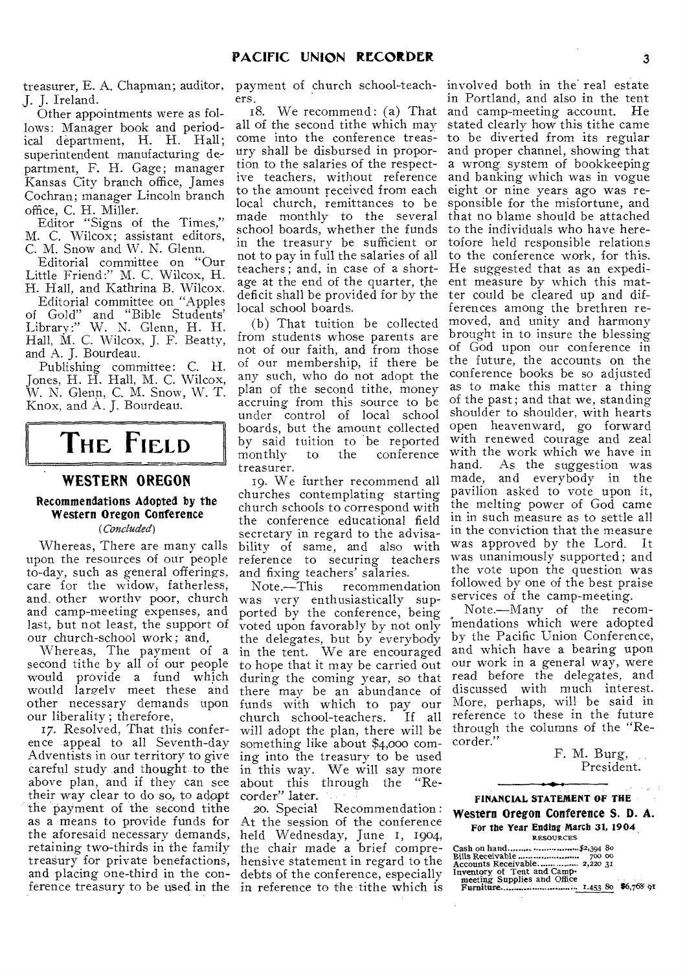J. J. Ireland.

Other appointments were as follows: Manager book and periodical department, H. H. Hall; superintendent manufacturing department, F. H. Gage; manager Kansas City branch office, James Cochran; manager Lincoln branch office, C. H. Miller.

Editor "Signs of the Times," M. C. Wilcox; assistant editors, C. M. Snow and W. N. Glenn.

Editorial committee on "Our Little Friend:" M. C. Wilcox, H. H. Hall, and Kathrina B. Wilcox.

Editorial committee on "Apples of Gold" and "Bible Students' Library:" W. N. Glenn, H. H. Hall, M. C. Wilcox, J. F. Beatty, and A. J. Bourdeau.

Publishing committee: C. H. Jones, H. H. Hall, M. C. Wilcox, W. N. Glenn, C. M. Snow, W. T. Knox, and A. J. Bourdeau.

# **THE FIELD**

# **WESTERN OREGON**

#### Recommendations Adopted by the Western Oregon Conference *(Concluded)*

Whereas, There are many calls

upon the resources of our people to-day, such as general offerings, care for the widow, fatherless, and, other worthy poor, church and camp-meeting expenses, and last, but not least, the support of our church-school work; and,

Whereas, The payment of a second tithe by all of our people would provide a fund which would largely meet these and other necessary demands upon our liberality ; therefore,

17. Resolved, That this conference appeal to all Seventh-day Adventists in our territory to give careful, study and thought to the above plan, and if they can see their way clear to do so, to adopt the payment of the second tithe as a means to provide funds for the aforesaid necessary demands, retaining two-thirds in the family treasury for private benefactions, and placing one-third in the conference treasury to be used in the

treasurer, E. A. Chapman; auditor, payment of church school-teachers.

18. We recommend: (a) That all of the second tithe which may come into the conference treasury shall be disbursed in proportion to the salaries of the respective teachers, without reference to the amount received from each local church, remittances to be made monthly to the several school boards, whether the funds in the treasury be sufficient or not to pay in full the salaries of all teachers; and, in case of a shortage at the end of the quarter, the deficit shall be provided for by the local school boards.

(b) That tuition be collected from students whose parents are not of our faith, and from those of our membership, if there be any such, who do not adopt the plan of the second tithe, money accruing from this source to be under control of local school boards, but the amount collected by said tuition to be reported<br>monthly to the conference conference treasurer.

19. We further recommend all churches contemplating starting church schools to correspond with the conference educational field secretary in regard to the advisability of same, and also with reference to securing teachers and fixing teachers' salaries.<br>Note.—This recommend

recommendation was very enthusiastically supported by the conference, being voted upon favorably by not only the delegates, but by everybody in the tent. We are encouraged to hope that it may be carried out during the coming year, so that there may be an abundance of funds with which to pay our church school-teachers. If all will adopt the plan, there will be something like about \$4,000 coming into the treasury to be used in this way. We will say more about this through the "Recorder" later.

20. Special Recommendation : At the session of the conference held Wednesday, June I, 1904, the chair made a brief comprehensive statement in regard to the debts of the conference, especially in reference to the tithe which is

involved both in the' real estate in Portland, and also in the tent and camp-meeting account. He stated clearly how this tithe came to be diverted from its regular and proper channel, showing that a wrong system of bookkeeping and banking which was in vogue eight or nine years ago was responsible for the misfortune, and that no blame should be attached to the individuals who have heretofore held responsible relations to the conference work, for this. He suggested that as an expedient measure by which this matter could be cleared up and differences among the brethren removed, and unity and harmony brought in to insure the blessing of God upon our conference in the future, the accounts on the conference books be so adjusted' as to make this matter a thing of the past; and that we, standing shoulder to shoulder, with hearts open heavenward, go forward with renewed courage and zeal with the work which we have in hand. As the suggestion was made, and everybody in the pavilion asked to vote upon it, the melting power of God came in in such measure as to settle all in the conviction that the measure was approved by the Lord. It was unanimously supported; and the vote upon the question was followed by one of the best praise services of the camp-meeting.

Note.—Many of the recommendations which were adopted by the Pacific Union Conference, and which have a bearing upon our work in a general way, were read before the delegates, and discussed with much interest. More, perhaps, will be said in reference to these in the future through the columns of the "Recorder."

> F. M. Burg, President.

FINANCIAL STATEMENT OF THE Western Oregon Conference S. **D.** A. For the Year Ending March 31, 1904, RESOURCES

Cash on hand ...... 8o

Bills Receivable 700 00 Accounts Receivable 2,220 31 Inventory of Tent and Camp-meeting Supplies and Office Furniture ,,453 80 \$6, 9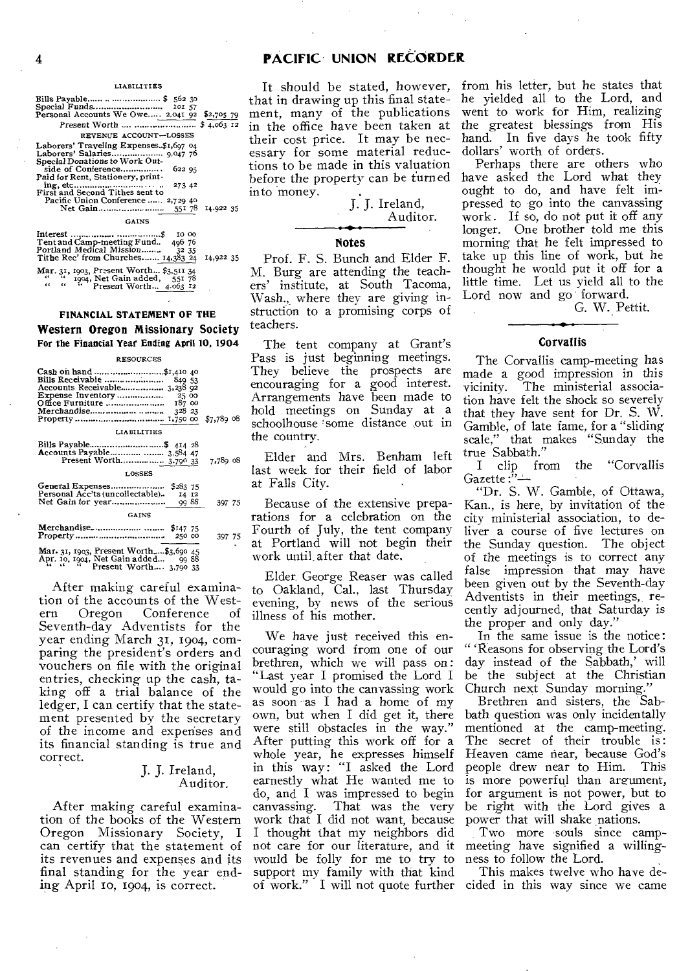#### LIABILITIES

| Bills Payable   \$ 562 30<br>Personal Accounts We Owe 2,041 92 \$2,705 79                                                                                                                                                        |                  |
|----------------------------------------------------------------------------------------------------------------------------------------------------------------------------------------------------------------------------------|------------------|
| REVENUE ACCOUNT-LOSSES                                                                                                                                                                                                           |                  |
| Laborers' Traveling Expenses\$1,697 04<br>Special Donations to Work Out-<br>side of Conference<br>622.95<br>Paid for Rent, Stationery, print-<br>273 42<br>First and Second Tithes sent to<br>Pacific Union Conference  2,729 40 | 551 78 14.922 35 |
| <b>GAINS</b>                                                                                                                                                                                                                     |                  |
| Tent and Camp-meeting Fund 496 76<br>Portland Medical Mission<br>32 35<br>Tithe Rec' from Churches 14,383 24                                                                                                                     | 14,922 35        |

# Mar. 31, 1903, Present Worth... \$3,511 34<br>" 1904, Net Gain added, 551 78<br>" Present Worth... 4.063 12

## **FINANCIAL STATEMENT OF THE**

**Western Oregon Missionary Society For the Financial Year Ending April 10, 1904** 

#### RESOURCES

| Cash on hand \$1,410 40<br>Bills Receivable<br>849 53<br>Accounts Receivable 3,238 92<br>187 00<br>328 23 | $$7,789$ 08 |
|-----------------------------------------------------------------------------------------------------------|-------------|
| LIABILITIES                                                                                               |             |
| Accounts Payable  3,584 47<br>Present Worth 3.790 33                                                      | 7,789 08    |
| <b>LOSSES</b>                                                                                             |             |
| Personal Acc'ts (uncollectable).<br>14 12<br>Net Gain for year<br>99 88                                   | 397 75      |
| <b>GAINS</b>                                                                                              |             |
| Merchandise  \$147 75<br>250 00                                                                           | 397 75      |
| Mar. 31, 1903, Present Worth\$3,690 45<br>Apr. 10, 1904, Net Gain added<br>9988                           |             |

 $A_1, A_2, A_3, A_4, A_5, A_6, A_7, A_8, A_9, A_1, A_2, A_1, A_2, A_3, A_4, A_5, A_6, A_7, A_8, A_9, A_1, A_2, A_3, A_4, A_5, A_6, A_7, A_8, A_9, A_1, A_2, A_3, A_4, A_5, A_6, A_7, A_8, A_9, A_1, A_2, A_3, A_1, A_2, A_3, A_4, A_5, A_6, A_7, A_8, A_9, A_1, A_2, A_3, A_1, A_2,$ 

After making careful examination of the accounts of the West-<br>ern Oregon Conference of Conference Seventh-day Adventists for the year ending March 31, 1904, comparing the president's orders and vouchers on file with the original entries, checking up the cash, taking off a trial balance of the ledger, I can certify that the statement presented by the secretary of the income and expenses and its financial standing is true and correct.

#### J. J. Ireland, Auditor.

After making careful examination of the books of the Western Oregon Missionary Society, I can certify that the statement of its revenues and expenses and its final standing for the year ending April 1o, 1904, is correct.

that in drawing up this final statement, many of the publications in the office have been taken at their cost price. It may be necessary for some material reductions to be made in this valuation before the property can be turned into money.



## **Notes**

Prof. F. S. Bunch and Elder F. M. Burg are attending the teachers' institute, at South Tacoma, Wash., where they are giving instruction to a promising corps of teachers.

The tent company at Grant's Pass is just beginning meetings. They believe the prospects are encouraging for a good interest. Arrangements have been made to hold meetings on Sunday at a schoolhouse 'some distance out in the country.

Elder and Mrs. Benham left last week for their field of labor at Falls City.

75 Because of the extensive preparations for a celebration on the Fourth of July, the tent company at Portland will not begin their work until. after that date.

Elder. George Reaser was called to Oakland, Cal., last Thursday evening, by news of the serious illness of his mother.

We have just received this encouraging word from one of our brethren, which we will pass on: "Last year I promised the Lord I would go into the canvassing work as soon as I had a home of my own, but when I did get it, there were still obstacles in the way." After putting this work off for a whole year, he expresses himself in this way: "I asked the Lord earnestly what He wanted me to do, and I was impressed to begin That was the very work that I did not want, because I thought that my neighbors did not care for our literature, and it would be folly for me to try to support my family with that kind of work." I will not quote further

It should be stated, however, from his letter, but he states that he yielded all to the Lord, and went to work for Him, realizing the greatest blessings from His hand. In five days he took fifty dollars' worth of orders.

> Perhaps there are others who have asked the Lord what they ought to do, and have felt impressed to go into the canvassing work. If so, do not put it off any longer. One brother told me this morning that he felt impressed to take up this line of work, but he thought he would put it off for a little time. Let us yield all to the Lord now and go forward.

> > G. W. Pettit.

### **Corvallis**

The Corvallis camp-meeting has made a good impression in this<br>vicinity. The ministerial associa-The ministerial association have felt the shock so severely that they have sent for Dr. S. W. Gamble, of late fame, for a "sliding scale," that makes "Sunday the true Sabbath."

I clip from the "Corvallis Gazette:"-

"Dr. S. W. Gamble, of Ottawa, Kan., is here, by invitation of the city ministerial association, to deliver a course of five lectures on the Sunday question. The object of the meetings is to correct any false impression that may have been given out by the Seventh-day Adventists in their meetings, recently adjourned, that Saturday is the proper and only day.'

In the same issue is the notice: " 'Reasons for observing the Lord's day instead of the Sabbath,' will be the subject at the Christian Church next Sunday morning."

Brethren and sisters, the Sabbath question was only incidentally mentioned at the camp-meeting. The secret of their trouble is : Heaven came near, because God's people drew near to Him. is more powerful than areument, for argument is not power, but to be right with the Lord gives a power that will shake nations.

Two more souls since campmeeting have signified a willingness to follow the Lord.

This makes twelve who have decided in this way since we came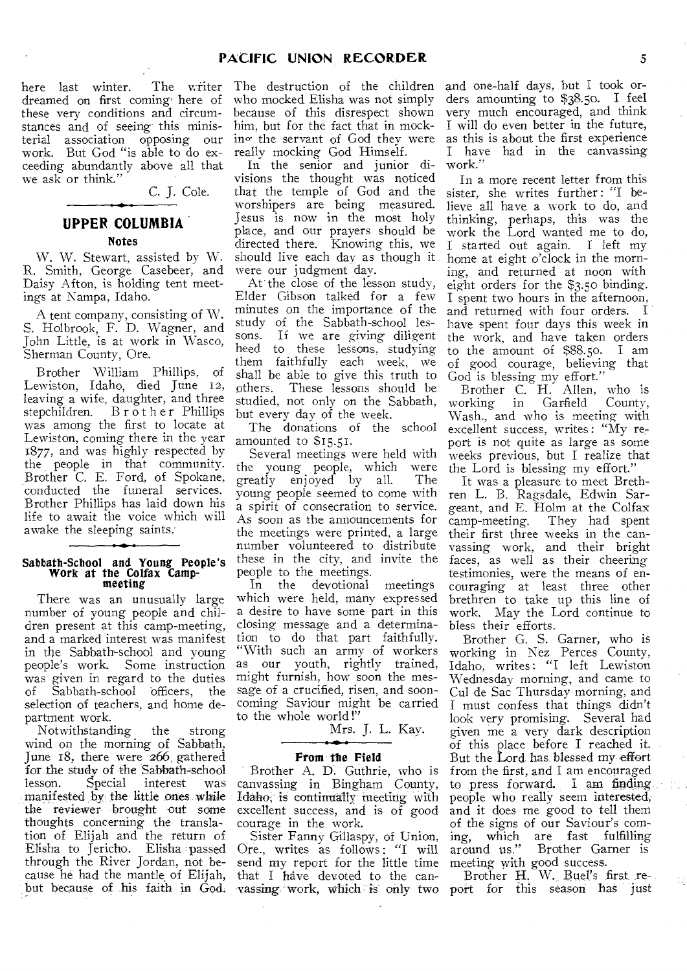here last winter. dreamed on first coming here of these very conditions and circumstances and of seeing this ministerial association opposing our work. But God "is able to do exceeding abundantly above all that we ask or think."

C. J. Cole.

# **UPPER COLUMBIA**

**Notes** 

W. W. Stewart, assisted by W. R. Smith, George Casebeer, and Daisy Afton, is holding tent meetings at Nampa, Idaho.

A tent company, consisting of W. S. Holbrook, F. D. Wagner, and John Little, is at work in Wasco, Sherman County, Ore.

Brother William Phillips, of Lewiston, Idaho, died June 12, leaving a wife, daughter, and three stepchildren. Brother Phillips was among the first to locate at Lewiston, coming there in the year 1877, and was highly respected by the people in that community. Brother C. E. Ford, of Spokane, conducted the funeral services. Brother Phillips has laid down his life to await the voice which will awake the sleeping saints.

# Sabbath-School and Young People's Work at the Colfax Campmeeting

There was an unusually large number of young people and children present at this camp-meeting, and a marked interest was manifest in the Sabbath-school and young<br>people's work. Some instruction Some instruction was given in regard to the duties<br>of Sabbath-school officers, the Sabbath-school officers, the selection of teachers, and home department work.

Notwithstanding the strong wind on the morning of Sabbath, June 18, there were 266, gathered for the study of the Sabbath-school<br>lesson. Special interest was lesson. Special interest was manifested by the little ones while the reviewer brought out some thoughts concerning the translation of Elijah and the return of Elisha to Jericho. Elisha passed through the River Jordan, not because he had the mantle of Elijah, but because of his faith in God.

The writer The destruction of the children who mocked Elisha was not simply because of this disrespect shown him, but for the fact that in mocking the servant of God they were really mocking God Himself.

> In the senior and junior divisions the thought was noticed that the temple of God and the worshipers are being measured. Jesus is now in the most holy place, and our prayers should be directed there. Knowing this, we should live each day as though it were our judgment day.

> At the close of the lesson study, Elder Gibson talked for a few minutes on the importance of the study of the Sabbath-school lessons. If we are giving diligent heed to these lessons, studying them faithfully each week, we shall be able to give this truth to others. These lessons should be studied, not only on the Sabbath, but every day of the week.

The donations of the school amounted to \$15.51.

Several meetings were held with the young people, which were<br>greatly enjoyed by all. The greatly enjoyed by all. young people seemed to come with a spirit of consecration to service. As soon as the announcements for the meetings were printed, a large number volunteered to distribute these in the city, and invite the people to the meetings.<br>In the devotional

devotional meetings which were held, many expressed a desire to have some part in this closing message and a determination to do that part faithfully. "With such an army of workers as our youth, rightly trained, might furnish, how soon the message of a crucified, risen, and sooncoming Saviour might be carried to the whole world !"

Mrs. J. L. Kay.

## **- A\* •**  From the Field

Brother A. D. Guthrie, who is canvassing in Bingham County, Idaho, is continually meeting with excellent success, and is of good courage in the work.

Sister Fanny Gillaspy, of Union, Ore., writes as follows : "I will send my report for the little time that I have devoted to the canvassing.-work, which is only two

and one-half days, but I took orders amounting to \$38.50. I feel very much encouraged, and think I will do even better in the future, as this is about the first experience I have had in the canvassing work."

In a more recent letter from this sister, she writes further : "I believe all have a work to do, and thinking, perhaps, this was the work the Lord wanted me to do, I started out again. I left my home at eight o'clock in the morning, and returned at noon with eight orders for the \$3.50 binding. I spent two hours in the afternoon, and returned with four orders. I have spent four days this week in the work, and have taken orders to the amount of \$88.50. I am of good courage, believing that God is blessing my effort."

Brother C. H. Allen, who is<br>working in Garfield County, in Garfield Wash., and who is meeting with excellent success, writes : "My report is not quite as large as some weeks previous, but I realize that the Lord is blessing my effort."

It was a pleasure to meet Brethren L. B. Ragsdale, Edwin Sargeant, and E. Holm at the Colfax<br>camp-meeting. They had spent They had spent their first three weeks in the canvassing work, and their bright faces, as well as their cheering testimonies, were the means of encouraging at least three other brethren to take up this line of work. May the Lord continue to bless their efforts.

Brother G. S. Garner, who is working in Nez Perces County, Idaho, writes: "I left Lewiston Wednesday morning, and came to Cul de Sac Thursday morning, and I must confess that things didn't look very promising. Several had given me a very dark description of this place before I reached it. But the Lord has blessed my effort from the first, and I am encouraged to press forward. I am finding people who really seem interested, and it does me good to tell them of the signs of our Saviour's com-<br>ing, which are fast fulfilling ing, which are fast fulfilling Brother Garner is meeting with good success.

Brother H. W. Buel's first report for this season has just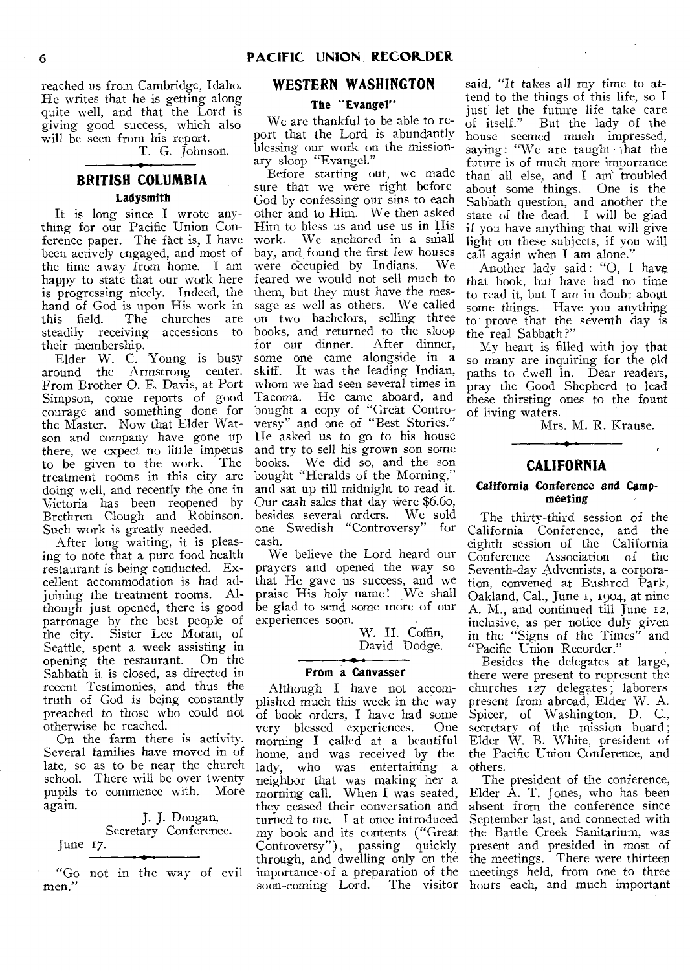reached us from Cambridge, Idaho. He writes that he is getting along quite well, and that the Lord is giving good success, which also will be seen from his report.

T. G. Johnson.

# **BRITISH COLUMBIA Ladysmith**

**It** is long since I wrote anything for our Pacific Union Conference paper. The fact is, I have been actively engaged, and most of the time away from home. I am happy to state that our work here is progressing nicely. Indeed, the hand of God is upon His work in<br>this field. The churches are The churches are steadily receiving accessions to their membership.

Elder W. C. Young is busy<br>around the Armstrong center. the Armstrong center. From Brother 0. E. Davis, at Port Simpson, come reports of good courage and something done for the Master. Now that Elder Watson and company have gone up there, we expect no little impetus<br>to be given to the work. The to be given to the work. treatment rooms in this city are doing well, and recently the one in Victoria has been reopened by Brethren Clough and Robinson. Such work is greatly needed.

After long waiting, it is pleasing to note that a pure food health restaurant is being conducted. Excellent accommodation is had adjoining the treatment rooms. Although just opened, there is good patronage by the best people of the city. Sister Lee Moran, of Seattle, spent a week assisting in opening the restaurant. On the Sabbath it is closed, as directed in recent Testimonies, and thus the truth of God is being constantly preached to those who could not otherwise be reached.

On the farm there is activity. Several families have moved in of late, so as to be near the church school. There will be over twenty pupils to commence with. More again.

J. J. Dougan, Secretary Conference. June 17.

"Go not in the way of evil men."

# **WESTERN WASHINGTON**

# **The "Evangel"**

We are thankful to be able to report that the Lord is abundantly blessing our work on the missionary sloop "Evangel."

Before starting out, we made sure that we were right before God by confessing our sins to each other and to Him. We then asked Him to bless us and use us in His work. We anchored in a small bay, and found the first few houses<br>were occupied by Indians. We were occupied by Indians. feared we would not sell much to them, but they must have the message as well as others. We called on two bachelors, selling three books, and returned to the sloop for our dinner. After dinner, some one came alongside in a skiff. It was the leading Indian, whom we had seen several times in Tacoma. He came aboard, and bought a copy of "Great Controversy" and one of "Best Stories." He asked us to go to his house and try to sell his grown son some books. We did so, and the son bought "Heralds of the Morning," and sat up till midnight to read it. Our cash sales that day were \$6.60, besides several orders. We sold besides several orders. one Swedish "Controversy" for cash.

We believe the Lord heard our prayers and opened the way so that He gave us success, and we praise His holy name! We shall be glad to send some more of our experiences soon.

W. H. Coffin, David Dodge.

# **From a Canvasser**

Although I have not accomplished much this week in the way of book orders, I have had some<br>very blessed experiences. One very blessed experiences. morning I called at a beautiful home, and was received by the lady, who was entertaining a neighbor that was making her a morning call. When I was seated, they ceased their conversation and turned to me. I at once introduced my book and its contents ("Great Controversy"), passing quickly through, and dwelling only on the importance•of a preparation of the meetings held, from one to three soon-coming Lord.

said, "It takes all my time to attend to the things of this life, so I just let the future life take care of itself." But the lady of the house seemed much impressed, saying: "We are taught that the future is of much more importance than all else, and I am troubled about some things. One is the Sabbath question, and another the state of the dead. I will be glad if you have anything that will give light on these subjects, if you will call again when I am alone."

Another lady said: "O, I have that book, but have had no time to read it, but I am in doubt about some things. Have you anything to prove that the seventh day is the real Sabbath ?"

My heart is filled with joy that so many are inquiring for the old paths to dwell in. Dear readers, pray the Good Shepherd to lead these thirsting ones to the fount of living waters.

Mrs. M. R. Krause.

# **CALIFORNIA**

#### **California Conference and Campmeeting**

The thirty-third *session* of the California Conference, and the eighth session of the California Conference Association of the Seventh-day Adventists, a corporation, convened at Bushrod Park, Oakland, Cal., June I, 1904, at nine A. M., and continued till June 12, inclusive, as per notice duly given in the "Signs of the Times" and "Pacific Union Recorder."

Besides the delegates at large, there were present to represent the churches 127 delegates; laborers present from abroad, Elder W. A. Spicer, of Washington, D. C., secretary of the mission board; Elder W. B. White, president of the Pacific Union Conference, and others.

The president of the conference, Elder A. T. Jones, who has been absent from the conference since September last, and connected with the Battle Creek Sanitarium, was present and presided in most of the meetings. There were thirteen The visitor hours each, and much important

 $\overline{\phantom{a}}$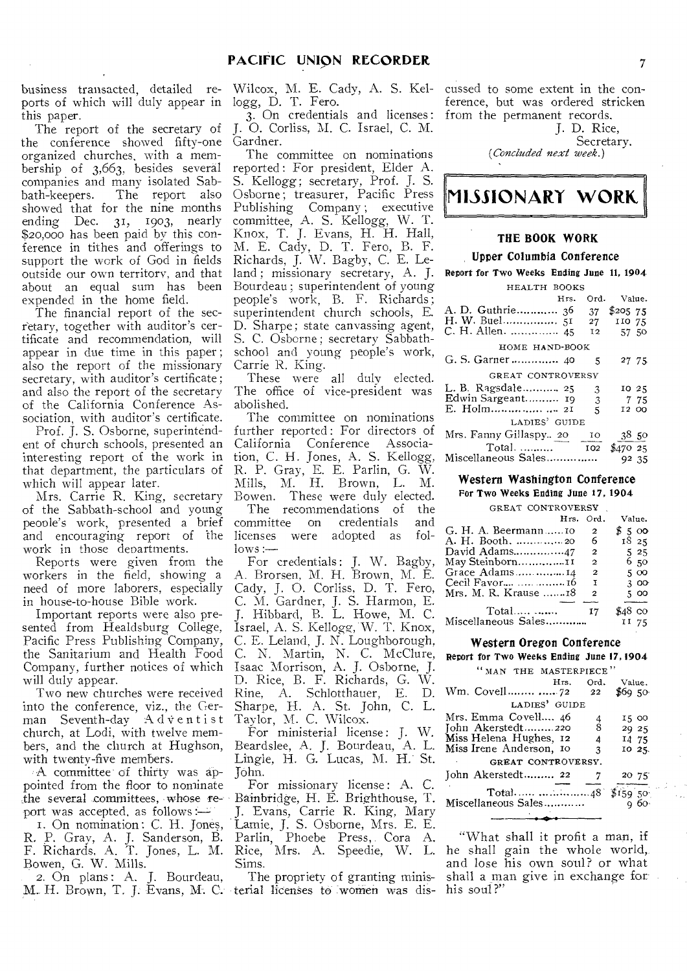business transacted, detailed reports of which will duly appear in logg, D. T. Fero. this paper.

The report of the secretary of the conference showed fifty-one organized churches, with a membership of 3,663, besides several companies and many isolated Sabbath-keepers. The report also showed that for the nine months ending Dec. 31, 1903, nearly \$20,000 has been paid by this conference in tithes and offerings to support the work of God in fields outside our own territory, and that land ; missionary secretary, A. J. about an equal sum has been expended in the home field.

The financial report of the secretary, together with auditor's certificate and recommendation, will appear in due time in this paper ; also the report of the missionary secretary, with auditor's certificate; and also the report of the secretary of the California Conference Association, with auditor's certificate.

Prof. J. S. Osborne, superintendent of church schools, presented an interesting report of the work in that department, the particulars of which will appear later.

Mrs. Carrie R. King, secretary of the Sabbath-school and young people's work, presented a brief and encouraging report of the work in those departments.

Reports were given from the workers in the field, showing a need of more laborers, especially in house-to-house Bible work.

Important reports were also presented from Healdsburg College, Pacific Press Publishing Company, the Sanitarium and Health Food Company, further notices of which will duly appear.

Two new churches were received into the conference, viz., the German Seventh-day  $A$  d  $\dot{v}$  entist church, at Lodi, with twelve members, and the church at Hughson, with twenty-five members.

A committee of thirty was appointed from the floor to nominate ,the several committees, whose report was accepted, as follows

T. On nomination : C. H. Jones, R. P. Gray, A. J. Sanderson, B. F. Richards, A. T. Jones, L. M. Bowen, G. W. Mills.

2. On plans: A. J. Bourdeau,

Wilcox, M. E. Cady, A. S. Kel-

3. On credentials and licenses : J. 0. Corliss, M. C. Israel, C. M. Gardner.

The committee on nominations reported : For president, Elder A. S. Kellogg; secretary, Prof. J. S. Osborne; treasurer, Pacific Press Publishing Company ; executive committee, A. S. Kellogg, W. T. Knox, T. J. Evans, H. H. Hall, M. E. Cady, D. T. Fero, B. F. Richards, J. W. Bagby, C. E. Le-Bourdeau; superintendent of young people's work, B. F. Richards; superintendent church schools, E. D. Sharpe; state canvassing agent, S. C. Osborne; secretary Sabbathschool and young people's work, Carrie R. King.

These were all duly elected. The office of vice-president was abolished.

The committee on nominations further reported : For directors of California Conference Association, C. H. Jones, A. S. Kellogg, R. P. Gray, E. E. Parlin, G. W. Mills, M. H. Brown, L. M. Bowen. These were duly elected.

The recommendations of the<br>mmittee on credentials and committee on credentials licenses were adopted as fol $lows :=$ 

For credentials: J. W. Bagby, A. Brorsen, M. H. Brown, M. E. Cady, J. 0. Corliss, D. T. Fero, C. M. Gardner, J. S. Harmon, E. J. Hibbard, B. L. Howe, M. C. Israel, A. S. Kellogg, W. T. Knox, C. E. Leland, J. N. Loughborough, C. N. Martin, N. C. McClure, Isaac Morrison, A. J. Osborne, J. D. Rice, B. F. Richards, G. W. Rine, A. Schlotthauer, E. D. Sharpe, H. A. St. John, C. L. Taylor, M. C. Wilcox.

For ministerial license : J. W. Beardslee, A. J. Bourdeau, A. L. Lingle, H. G. Lucas, M. H.' St. John.

For missionary license: A. C. Bainbridge, H. E. Brighthouse, T. J. Evans, Carrie R. King, Mary Lamie, J. S. Osborne, Mrs. E. E. Parlin, Phoebe Press, Cora A. Rice, Mrs. A. Speedie, W. L. Sims.

M. H. Brown, T. J. Evans, M. C. terial licenses to women was dis-The propriety of granting minis-

cussed to some extent in the conference, but was ordered stricken from the permanent records.

J. D. Rice, Secretary. *(Concluded next week.)* 

# **MISSIONARY WORK,**

# THE BOOK WORK

### Upper Columbia Conference

Report for Two Weeks Ending June 11, 1904

| HEALTH BOOKS           |                        |           |
|------------------------|------------------------|-----------|
| Hrs.                   | Ord.                   | Value.    |
|                        | 37                     | \$205, 75 |
|                        |                        |           |
| C. H. Allen.  45       | 12                     | 57 50     |
| HOME HAND-BOOK         |                        |           |
| G. S. Garner  40       | 5                      | 27 75     |
| GREAT CONTROVERSY      |                        |           |
| L. B. Ragsdale 25      | 3                      | 10 25     |
|                        | 3                      | 775       |
|                        | 5                      | I2 00     |
| LADIES' GUIDE          |                        |           |
| Mrs. Fanny Gillaspy 20 | $\overline{I^{\circ}}$ | 3850      |
|                        |                        | \$47025   |
| Miscellaneous Sales    |                        | 92 35     |

#### Western Washington Conference

For Two Weeks Ending June 17, 1904

| GREAT CONTROVERSY      |              |          |  |
|------------------------|--------------|----------|--|
| Hrs.                   | Ord.         | Value.   |  |
| G. H. A. Beermann10    | 2            | \$500    |  |
|                        | 6            | 1825     |  |
| David Adams47          | 2            | 525      |  |
| May Steinborn11        | 2            | 650      |  |
| Grace Adams14          | $\mathbf{2}$ | 5 00     |  |
| Cecil Favor   16       | I            | 300      |  |
| Mrs. M. R. Krause $18$ | 2            | 500      |  |
|                        |              |          |  |
| Total                  | 17           | $$48$ co |  |
| Miscellaneous Sales    |              | II 75    |  |

### Western Oregon Conference

Report for Two Weeks Ending June 17,1904

|  | " MAN THE MASTERPIECE" |  |
|--|------------------------|--|
|  |                        |  |

| Wm. Covell  72                                                                                  | Hrs. | Ord.<br>$22\,$          | Value.<br>\$69,50                 |
|-------------------------------------------------------------------------------------------------|------|-------------------------|-----------------------------------|
| LADIES' GUIDE                                                                                   |      |                         |                                   |
| Mrs. Emma Covell…. 46<br>John Akerstedt220<br>Miss Helena Hughes, 12<br>Miss Irene Anderson, 10 |      | $\frac{4}{8}$<br>4<br>3 | 15 00<br>29 25<br>14 75<br>10 25. |
| GREAT CONTROVERSY.                                                                              |      |                         |                                   |
| John Akerstedt 22                                                                               |      |                         | 20 75                             |
| Miscellaneous Sales…………                                                                         |      |                         | $\sqrt{$159,50}$<br>а бо-         |

"What shall it profit a man, if he shall gain the whole world, and lose his own soul? or what shall a man give in exchange for his soul?"